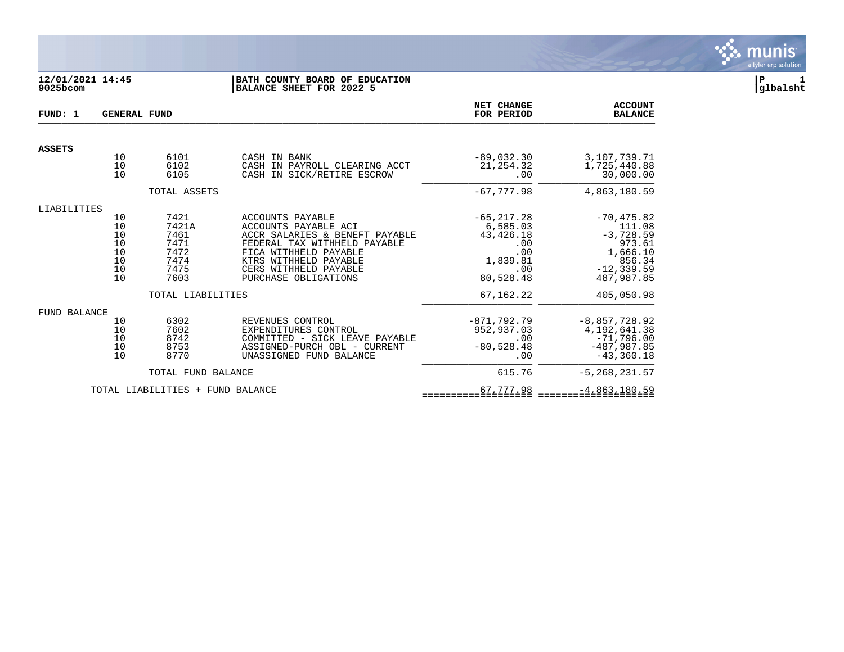

# **12/01/2021 14:45 |BATH COUNTY BOARD OF EDUCATION |P 1 9025bcom |BALANCE SHEET FOR 2022 5 |glbalsht**

| FUND: 1             | <b>GENERAL FUND</b>                          |                                                               | NET CHANGE<br>FOR PERIOD                                                                                                                                                                                      | <b>ACCOUNT</b><br><b>BALANCE</b>                                                       |                                                                                                       |
|---------------------|----------------------------------------------|---------------------------------------------------------------|---------------------------------------------------------------------------------------------------------------------------------------------------------------------------------------------------------------|----------------------------------------------------------------------------------------|-------------------------------------------------------------------------------------------------------|
| <b>ASSETS</b>       |                                              |                                                               |                                                                                                                                                                                                               |                                                                                        |                                                                                                       |
|                     | 10<br>10<br>10                               | 6101<br>6102<br>6105                                          | CASH IN BANK<br>CASH IN PAYROLL CLEARING ACCT<br>CASH IN SICK/RETIRE ESCROW                                                                                                                                   | $-89,032,30$<br>21, 254.32<br>.00                                                      | 3,107,739.71<br>1,725,440.88<br>30,000.00                                                             |
|                     |                                              | TOTAL ASSETS                                                  |                                                                                                                                                                                                               | $-67,777.98$                                                                           | 4,863,180.59                                                                                          |
| LIABILITIES         |                                              |                                                               |                                                                                                                                                                                                               |                                                                                        |                                                                                                       |
|                     | 10<br>10<br>10<br>10<br>10<br>10<br>10<br>10 | 7421<br>7421A<br>7461<br>7471<br>7472<br>7474<br>7475<br>7603 | ACCOUNTS PAYABLE<br>ACCOUNTS PAYABLE ACI<br>ACCR SALARIES & BENEFT PAYABLE<br>FEDERAL TAX WITHHELD PAYABLE<br>FICA WITHHELD PAYABLE<br>KTRS WITHHELD PAYABLE<br>CERS WITHHELD PAYABLE<br>PURCHASE OBLIGATIONS | $-65, 217.28$<br>6,585.03<br>43, 426. 18<br>.00<br>.00<br>1,839.81<br>.00<br>80,528.48 | $-70, 475.82$<br>111.08<br>$-3,728.59$<br>973.61<br>1,666.10<br>856.34<br>$-12, 339.59$<br>487,987.85 |
|                     |                                              | TOTAL LIABILITIES                                             |                                                                                                                                                                                                               | 67, 162. 22                                                                            | 405,050.98                                                                                            |
| <b>FUND BALANCE</b> | 10<br>10<br>10<br>10<br>10                   | 6302<br>7602<br>8742<br>8753<br>8770                          | REVENUES CONTROL<br>EXPENDITURES CONTROL<br>COMMITTED - SICK LEAVE PAYABLE<br>ASSIGNED-PURCH OBL - CURRENT<br>UNASSIGNED FUND BALANCE                                                                         | $-871,792.79$<br>952,937.03<br>.00<br>$-80,528.48$<br>.00                              | $-8,857,728.92$<br>4, 192, 641.38<br>$-71,796.00$<br>$-487,987.85$<br>$-43, 360.18$                   |
|                     |                                              | TOTAL FUND BALANCE                                            |                                                                                                                                                                                                               | 615.76                                                                                 | $-5, 268, 231.57$                                                                                     |
|                     |                                              | TOTAL LIABILITIES + FUND BALANCE                              |                                                                                                                                                                                                               | 67,777.98                                                                              | $-4,863,180.59$                                                                                       |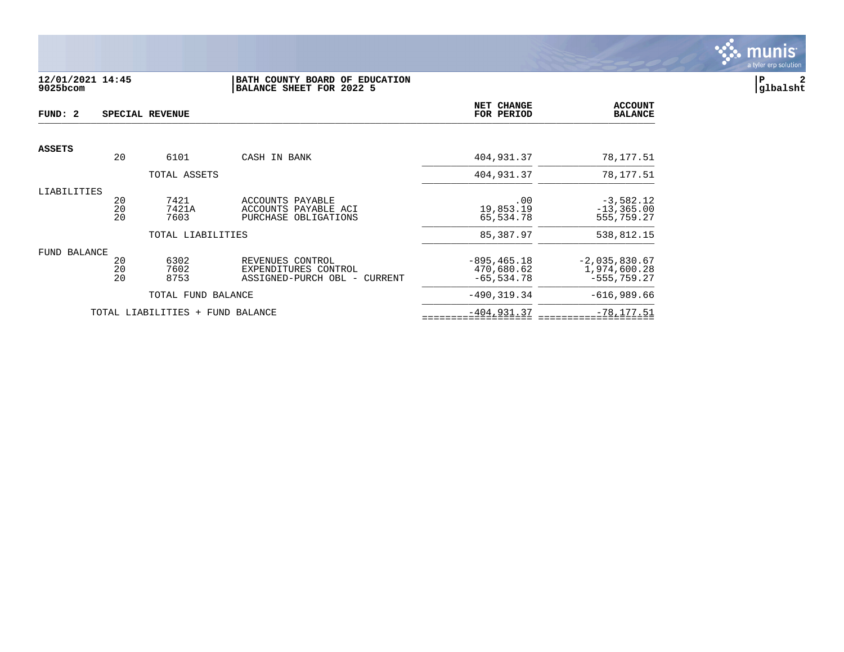

# **12/01/2021 14:45 |BATH COUNTY BOARD OF EDUCATION |P 2 9025bcom |BALANCE SHEET FOR 2022 5 |glbalsht**

| FUND: 2       |                | SPECIAL REVENUE       |                                                                             | NET CHANGE<br>FOR PERIOD                      | <b>ACCOUNT</b><br><b>BALANCE</b>                  |
|---------------|----------------|-----------------------|-----------------------------------------------------------------------------|-----------------------------------------------|---------------------------------------------------|
|               |                |                       |                                                                             |                                               |                                                   |
| <b>ASSETS</b> | 20             | 6101                  | CASH IN BANK                                                                | 404,931.37                                    | 78,177.51                                         |
|               |                | TOTAL ASSETS          |                                                                             | 404,931.37                                    | 78, 177.51                                        |
| LIABILITIES   | 20<br>20<br>20 | 7421<br>7421A<br>7603 | ACCOUNTS PAYABLE<br>ACCOUNTS PAYABLE ACI<br>PURCHASE OBLIGATIONS            | .00<br>19,853.19<br>65,534.78                 | $-3,582.12$<br>$-13, 365.00$<br>555,759.27        |
|               |                | TOTAL LIABILITIES     |                                                                             | 85,387.97                                     | 538,812.15                                        |
| FUND BALANCE  | 20<br>20<br>20 | 6302<br>7602<br>8753  | REVENUES CONTROL<br>EXPENDITURES CONTROL<br>ASSIGNED-PURCH OBL -<br>CURRENT | $-895, 465.18$<br>470,680.62<br>$-65, 534.78$ | $-2,035,830.67$<br>1,974,600.28<br>$-555, 759.27$ |
|               |                | TOTAL FUND BALANCE    |                                                                             | $-490.319.34$                                 | $-616,989.66$                                     |
|               |                | TOTAL LIABILITIES +   | FUND BALANCE                                                                | $-404, 931.37$                                | $-78, 177.51$                                     |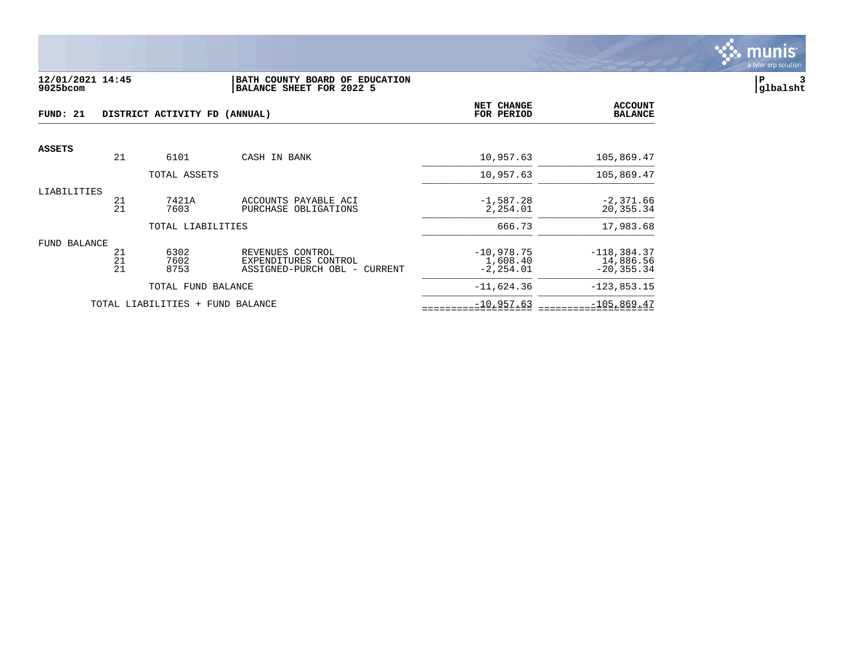

#### **12/01/2021 14:45 |BATH COUNTY BOARD OF EDUCATION |P 3 9025bcom |BALANCE SHEET FOR 2022 5 |glbalsht**

| FUND: 21<br>DISTRICT ACTIVITY FD (ANNUAL) |                |                                  |                                                                          | NET CHANGE<br>FOR PERIOD                 | <b>ACCOUNT</b><br><b>BALANCE</b>            |
|-------------------------------------------|----------------|----------------------------------|--------------------------------------------------------------------------|------------------------------------------|---------------------------------------------|
| <b>ASSETS</b>                             |                |                                  |                                                                          |                                          |                                             |
|                                           | 21             | 6101                             | CASH IN BANK                                                             | 10,957.63                                | 105,869.47                                  |
|                                           |                | TOTAL ASSETS                     |                                                                          | 10,957.63                                | 105,869.47                                  |
| LIABILITIES                               | 21<br>21       | 7421A<br>7603                    | ACCOUNTS PAYABLE ACI<br>PURCHASE OBLIGATIONS                             | $-1,587.28$<br>2,254.01                  | $-2,371.66$<br>20,355.34                    |
|                                           |                | TOTAL LIABILITIES                |                                                                          | 666.73                                   | 17,983.68                                   |
| FUND BALANCE                              | 21<br>21<br>21 | 6302<br>7602<br>8753             | REVENUES CONTROL<br>EXPENDITURES CONTROL<br>ASSIGNED-PURCH OBL - CURRENT | $-10,978.75$<br>1,608.40<br>$-2, 254.01$ | $-118,384.37$<br>14,886.56<br>$-20, 355.34$ |
|                                           |                | TOTAL FUND BALANCE               |                                                                          | $-11,624.36$                             | $-123,853.15$                               |
|                                           |                | TOTAL LIABILITIES + FUND BALANCE |                                                                          | $-10,957.63$                             | $-105,869.47$                               |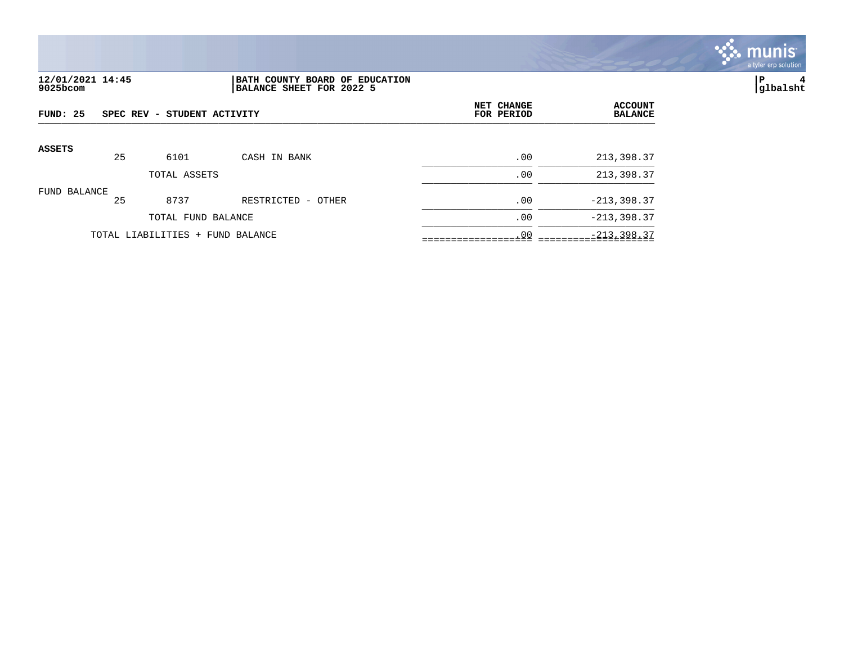

# **12/01/2021 14:45 |BATH COUNTY BOARD OF EDUCATION |P 4 9025bcom |BALANCE SHEET FOR 2022 5 |glbalsht**

| FUND: 25      |    | SPEC REV - STUDENT ACTIVITY      |                    | NET CHANGE<br>FOR PERIOD | <b>ACCOUNT</b><br><b>BALANCE</b> |
|---------------|----|----------------------------------|--------------------|--------------------------|----------------------------------|
| <b>ASSETS</b> | 25 | 6101                             | CASH IN BANK       | .00                      | 213,398.37                       |
|               |    | TOTAL ASSETS                     |                    | .00                      | 213,398.37                       |
| FUND BALANCE  | 25 | 8737                             | RESTRICTED - OTHER | .00                      | $-213,398.37$                    |
|               |    | TOTAL FUND BALANCE               |                    | .00                      | $-213, 398.37$                   |
|               |    | TOTAL LIABILITIES + FUND BALANCE |                    | .00                      | $-213, 398.37$                   |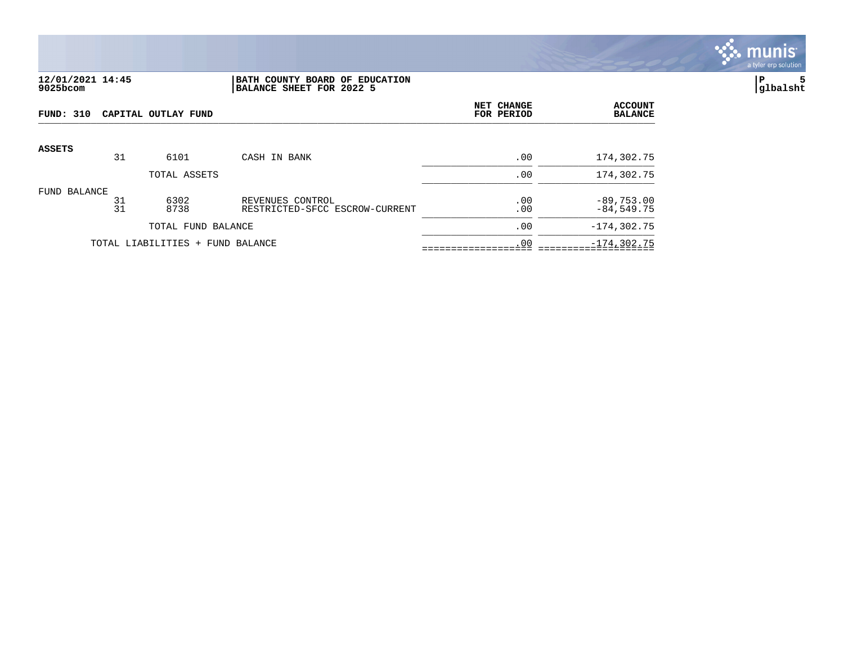

## **12/01/2021 14:45 |BATH COUNTY BOARD OF EDUCATION |P 5 9025bcom |BALANCE SHEET FOR 2022 5 |glbalsht**

| FUND: 310     |          | CAPITAL OUTLAY FUND              |                                                    | NET CHANGE<br>FOR PERIOD | <b>ACCOUNT</b><br><b>BALANCE</b> |
|---------------|----------|----------------------------------|----------------------------------------------------|--------------------------|----------------------------------|
| <b>ASSETS</b> | 31       | 6101                             | CASH IN BANK                                       |                          | 174,302.75                       |
|               |          | TOTAL ASSETS                     |                                                    | .00<br>.00               | 174,302.75                       |
| FUND BALANCE  | 31<br>31 | 6302<br>8738                     | REVENUES CONTROL<br>RESTRICTED-SFCC ESCROW-CURRENT | .00<br>.00               | $-89,753.00$<br>$-84,549.75$     |
|               |          | TOTAL FUND BALANCE               |                                                    | .00                      | $-174, 302.75$                   |
|               |          | TOTAL LIABILITIES + FUND BALANCE |                                                    | .00                      | $-174, 302.75$                   |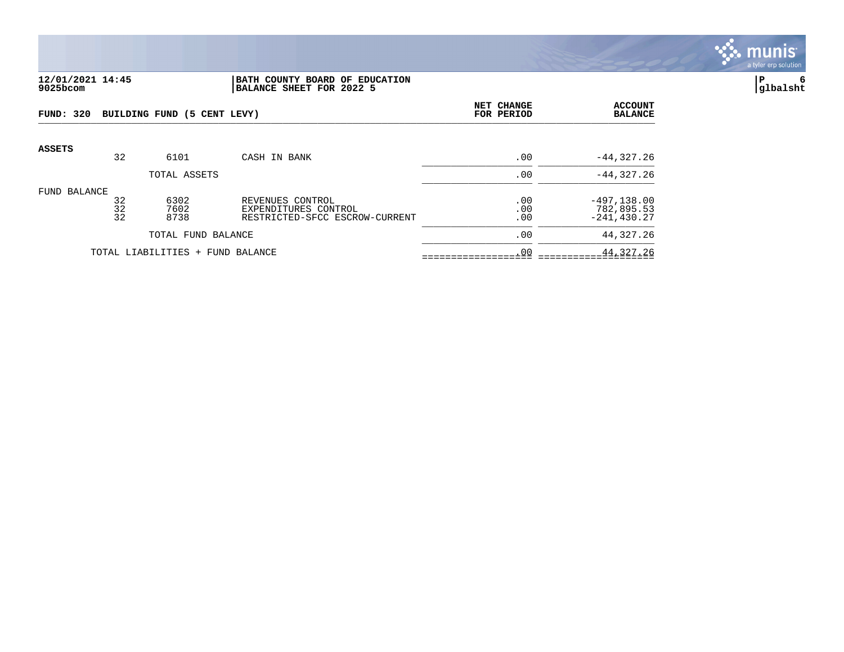

#### **12/01/2021 14:45 |BATH COUNTY BOARD OF EDUCATION |P 6 9025bcom |BALANCE SHEET FOR 2022 5 |glbalsht**

| FUND: 320     |                | BUILDING FUND (5 CENT LEVY)      |                                                                            | <b>NET CHANGE</b><br>FOR PERIOD | <b>ACCOUNT</b><br><b>BALANCE</b>               |
|---------------|----------------|----------------------------------|----------------------------------------------------------------------------|---------------------------------|------------------------------------------------|
| <b>ASSETS</b> | 32             | 6101                             | CASH IN BANK                                                               | .00                             | $-44, 327.26$                                  |
|               |                | TOTAL ASSETS                     |                                                                            | .00                             | $-44, 327.26$                                  |
| FUND BALANCE  | 32<br>32<br>32 | 6302<br>7602<br>8738             | REVENUES CONTROL<br>EXPENDITURES CONTROL<br>RESTRICTED-SFCC ESCROW-CURRENT | .00<br>.00<br>.00               | $-497, 138.00$<br>782,895.53<br>$-241, 430.27$ |
|               |                | TOTAL FUND BALANCE               |                                                                            | .00                             | 44,327.26                                      |
|               |                | TOTAL LIABILITIES + FUND BALANCE |                                                                            | .00                             | 44,327.26                                      |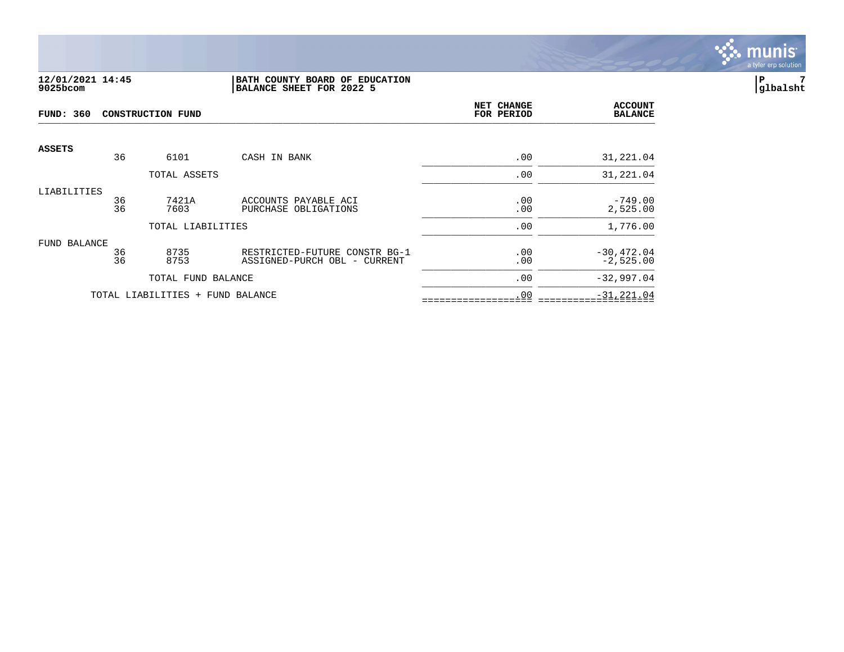

## **12/01/2021 14:45 |BATH COUNTY BOARD OF EDUCATION |P 7 9025bcom |BALANCE SHEET FOR 2022 5 |glbalsht**

| <b>FUND: 360</b> |          | <b>CONSTRUCTION FUND</b>         | NET CHANGE<br>FOR PERIOD                                      | <b>ACCOUNT</b><br><b>BALANCE</b> |                              |
|------------------|----------|----------------------------------|---------------------------------------------------------------|----------------------------------|------------------------------|
| <b>ASSETS</b>    | 36       | 6101                             | CASH IN BANK                                                  | .00                              | 31,221.04                    |
|                  |          | TOTAL ASSETS                     |                                                               | .00                              | 31,221.04                    |
| LIABILITIES      | 36<br>36 | 7421A<br>7603                    | ACCOUNTS PAYABLE ACI<br>PURCHASE OBLIGATIONS                  | .00<br>.00                       | $-749.00$<br>2,525.00        |
|                  |          | TOTAL LIABILITIES                |                                                               | .00                              | 1,776.00                     |
| FUND BALANCE     | 36<br>36 | 8735<br>8753                     | RESTRICTED-FUTURE CONSTR BG-1<br>ASSIGNED-PURCH OBL - CURRENT | .00<br>.00                       | $-30, 472.04$<br>$-2,525.00$ |
|                  |          | TOTAL FUND BALANCE               |                                                               | .00                              | $-32,997.04$                 |
|                  |          | TOTAL LIABILITIES + FUND BALANCE |                                                               | .00                              | $-31, 221.04$                |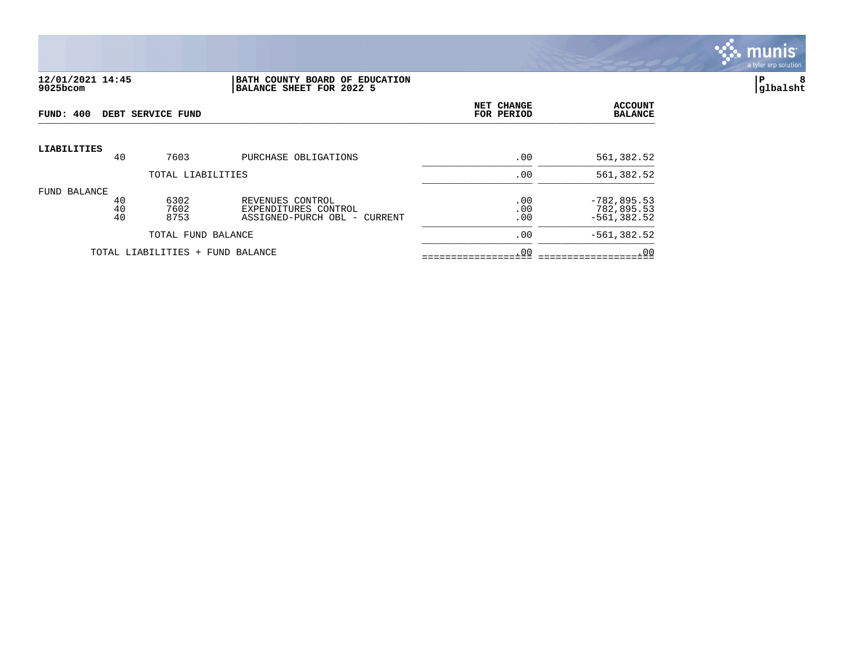

#### **12/01/2021 14:45 |BATH COUNTY BOARD OF EDUCATION |P 8 9025bcom |BALANCE SHEET FOR 2022 5 |glbalsht**

| FUND: 400          |                | DEBT SERVICE FUND                |                                                                          | NET CHANGE<br>FOR PERIOD | <b>ACCOUNT</b><br><b>BALANCE</b>               |
|--------------------|----------------|----------------------------------|--------------------------------------------------------------------------|--------------------------|------------------------------------------------|
| <b>LIABILITIES</b> | 40             | 7603                             | PURCHASE OBLIGATIONS                                                     | .00                      | 561,382.52                                     |
|                    |                | TOTAL LIABILITIES                |                                                                          | .00                      | 561,382.52                                     |
| FUND BALANCE       | 40<br>40<br>40 | 6302<br>7602<br>8753             | REVENUES CONTROL<br>EXPENDITURES CONTROL<br>ASSIGNED-PURCH OBL - CURRENT | .00<br>.00<br>.00        | $-782, 895.53$<br>782,895.53<br>$-561, 382.52$ |
|                    |                | TOTAL FUND BALANCE               |                                                                          | .00                      | $-561, 382.52$                                 |
|                    |                | TOTAL LIABILITIES + FUND BALANCE |                                                                          | .00                      | .00                                            |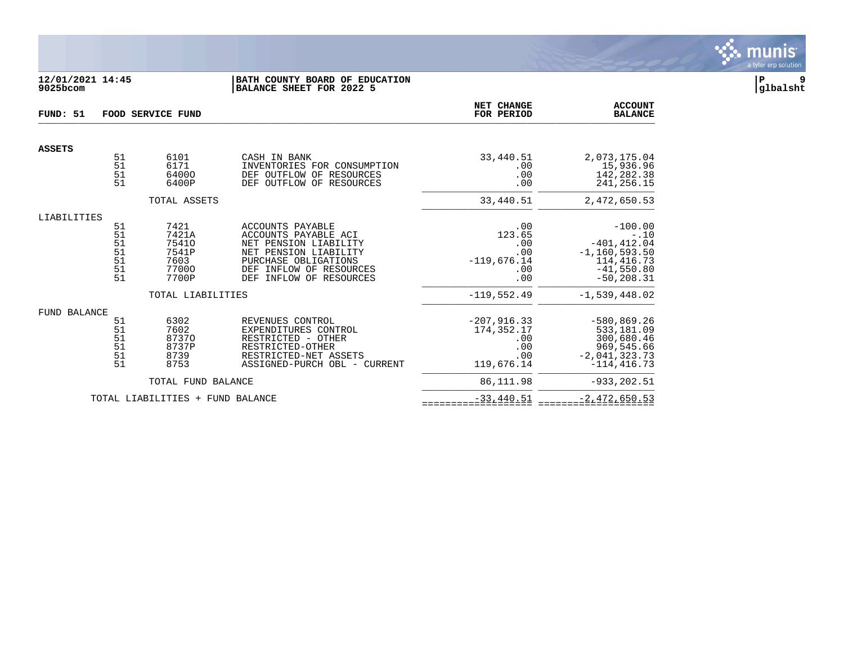

# **12/01/2021 14:45 |BATH COUNTY BOARD OF EDUCATION |P 9 9025bcom |BALANCE SHEET FOR 2022 5 |glbalsht**

| FUND: 51            | FOOD SERVICE FUND                      |                                                           |                                                                                                                                                                          |                                                                   | <b>ACCOUNT</b><br><b>BALANCE</b>                                                                            |
|---------------------|----------------------------------------|-----------------------------------------------------------|--------------------------------------------------------------------------------------------------------------------------------------------------------------------------|-------------------------------------------------------------------|-------------------------------------------------------------------------------------------------------------|
| <b>ASSETS</b>       |                                        |                                                           |                                                                                                                                                                          |                                                                   |                                                                                                             |
|                     | 51<br>51<br>51<br>51                   | 6101<br>6171<br>64000<br>6400P                            | CASH IN BANK<br>INVENTORIES FOR CONSUMPTION<br>DEF OUTFLOW OF RESOURCES<br>DEF OUTFLOW OF RESOURCES                                                                      | 33,440.51<br>.00<br>.00<br>.00                                    | 2,073,175.04<br>15,936.96<br>142,282.38<br>241, 256. 15                                                     |
|                     |                                        | TOTAL ASSETS                                              |                                                                                                                                                                          | 33,440.51                                                         | 2,472,650.53                                                                                                |
| LIABILITIES         | 51<br>51<br>51<br>51<br>51<br>51<br>51 | 7421<br>7421A<br>75410<br>7541P<br>7603<br>77000<br>7700P | ACCOUNTS PAYABLE<br>ACCOUNTS PAYABLE ACI<br>NET PENSION LIABILITY<br>NET PENSION LIABILITY<br>PURCHASE OBLIGATIONS<br>DEF INFLOW OF RESOURCES<br>DEF INFLOW OF RESOURCES | .00<br>123.65<br>.00<br>.00<br>$-119,676.14$<br>.00<br>.00        | $-100.00$<br>$-.10$<br>$-401, 412.04$<br>$-1, 160, 593.50$<br>114, 416. 73<br>$-41,550.80$<br>$-50, 208.31$ |
|                     |                                        | TOTAL LIABILITIES                                         |                                                                                                                                                                          | $-119,552.49$                                                     | $-1,539,448.02$                                                                                             |
| <b>FUND BALANCE</b> | 51<br>51<br>51<br>51<br>51<br>51       | 6302<br>7602<br>87370<br>8737P<br>8739<br>8753            | REVENUES CONTROL<br>EXPENDITURES CONTROL<br>RESTRICTED - OTHER<br>RESTRICTED-OTHER<br>RESTRICTED-NET ASSETS<br>ASSIGNED-PURCH OBL - CURRENT                              | $-207, 916.33$<br>174, 352. 17<br>.00<br>.00<br>.00<br>119,676.14 | $-580, 869.26$<br>533,181.09<br>300,680.46<br>969,545.66<br>$-2,041,323.73$<br>$-114, 416.73$               |
|                     |                                        | TOTAL FUND BALANCE                                        |                                                                                                                                                                          | 86,111.98                                                         | $-933, 202.51$                                                                                              |
|                     |                                        | TOTAL LIABILITIES + FUND BALANCE                          |                                                                                                                                                                          | $-33,440.51$                                                      | $-2,472,650.53$                                                                                             |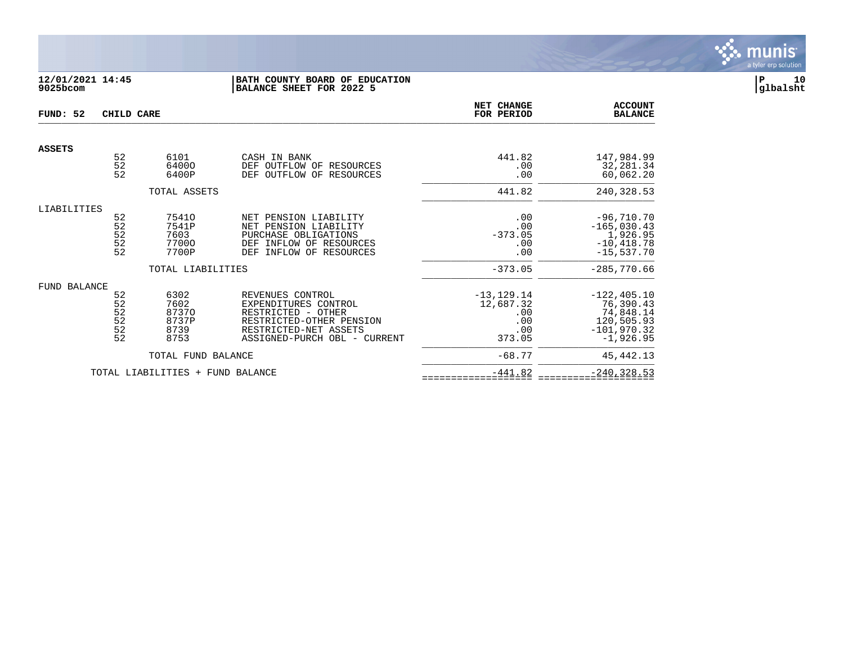

# **12/01/2021 14:45 |BATH COUNTY BOARD OF EDUCATION |P 10 9025bcom |BALANCE SHEET FOR 2022 5 |glbalsht**

| FUND: 52            | CHILD CARE                                    |                                                                     | NET CHANGE<br>FOR PERIOD                                                                                                                            | <b>ACCOUNT</b><br><b>BALANCE</b>                                       |                                                                                                         |
|---------------------|-----------------------------------------------|---------------------------------------------------------------------|-----------------------------------------------------------------------------------------------------------------------------------------------------|------------------------------------------------------------------------|---------------------------------------------------------------------------------------------------------|
| <b>ASSETS</b>       |                                               |                                                                     |                                                                                                                                                     |                                                                        |                                                                                                         |
|                     | $\begin{array}{c} 52 \\ 52 \end{array}$<br>52 | 6101<br>64000<br>6400P                                              | CASH IN BANK<br>DEF OUTFLOW OF<br>RESOURCES<br>OF<br><b>DEF</b><br>OUTFLOW<br>RESOURCES                                                             | 441.82<br>.00<br>.00                                                   | 147,984.99<br>32,281.34<br>60,062.20                                                                    |
|                     |                                               | TOTAL ASSETS                                                        |                                                                                                                                                     | 441.82                                                                 | 240,328.53                                                                                              |
| LIABILITIES         | 52<br>52<br>52<br>52<br>52                    | 75410<br>7541P<br>7603<br>77000<br>7700P                            | NET PENSION LIABILITY<br>NET PENSION LIABILITY<br>PURCHASE OBLIGATIONS<br>INFLOW OF RESOURCES<br>DEF<br>INFLOW OF RESOURCES<br><b>DEF</b>           | .00<br>.00<br>$-373.05$<br>.00<br>.00                                  | $-96,710.70$<br>$-165,030.43$<br>1,926.95<br>$-10, 418.78$<br>$-15,537.70$                              |
| <b>FUND BALANCE</b> | 52<br>52<br>$\frac{52}{52}$<br>52<br>52       | TOTAL LIABILITIES<br>6302<br>7602<br>87370<br>8737P<br>8739<br>8753 | REVENUES CONTROL<br>EXPENDITURES CONTROL<br>RESTRICTED - OTHER<br>RESTRICTED-OTHER PENSION<br>RESTRICTED-NET ASSETS<br>ASSIGNED-PURCH OBL - CURRENT | $-373.05$<br>$-13, 129.14$<br>12,687.32<br>.00<br>.00<br>.00<br>373.05 | $-285,770.66$<br>$-122, 405.10$<br>76,390.43<br>74,848.14<br>120,505.93<br>$-101,970.32$<br>$-1,926.95$ |
|                     |                                               | TOTAL FUND BALANCE                                                  |                                                                                                                                                     | $-68.77$                                                               | 45, 442. 13                                                                                             |
|                     |                                               | TOTAL LIABILITIES +                                                 | FUND BALANCE                                                                                                                                        | $-441.82$                                                              | $-240, 328.53$                                                                                          |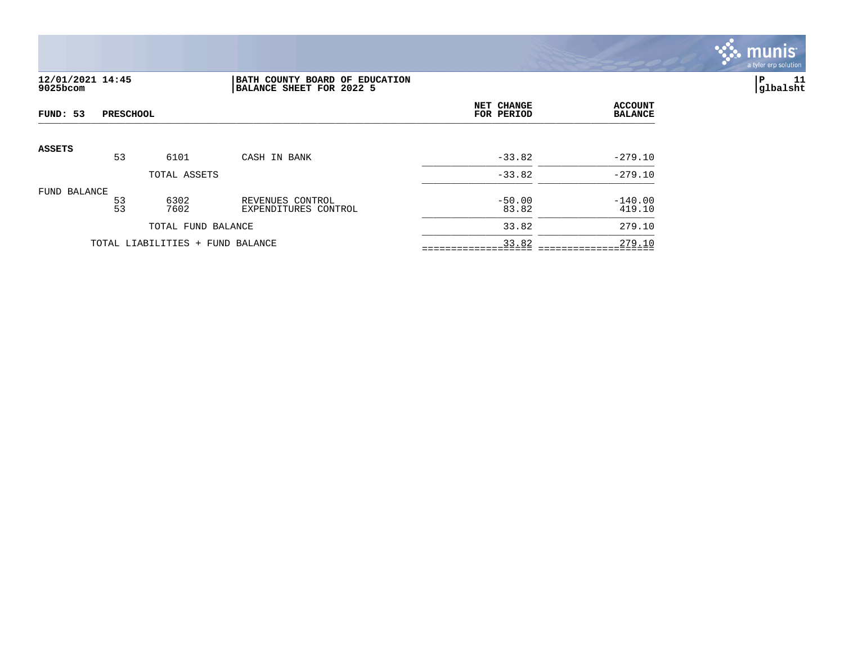

# **12/01/2021 14:45 |BATH COUNTY BOARD OF EDUCATION |P 11 9025bcom |BALANCE SHEET FOR 2022 5 |glbalsht**

| FUND: 53      | <b>PRESCHOOL</b><br>53<br>6101<br>CASH IN BANK<br>TOTAL ASSETS<br>$\frac{53}{53}$<br>6302<br>REVENUES CONTROL<br>7602<br>EXPENDITURES CONTROL<br>TOTAL FUND BALANCE | NET CHANGE<br>FOR PERIOD         | <b>ACCOUNT</b><br><b>BALANCE</b> |                   |                     |
|---------------|---------------------------------------------------------------------------------------------------------------------------------------------------------------------|----------------------------------|----------------------------------|-------------------|---------------------|
| <b>ASSETS</b> |                                                                                                                                                                     |                                  |                                  |                   |                     |
|               |                                                                                                                                                                     |                                  |                                  | $-33.82$          | $-279.10$           |
|               |                                                                                                                                                                     |                                  |                                  | $-33.82$          | $-279.10$           |
| FUND BALANCE  |                                                                                                                                                                     |                                  |                                  | $-50.00$<br>83.82 | $-140.00$<br>419.10 |
|               |                                                                                                                                                                     |                                  |                                  | 33.82             | 279.10              |
|               |                                                                                                                                                                     | TOTAL LIABILITIES + FUND BALANCE |                                  | 33.82             | 279.10              |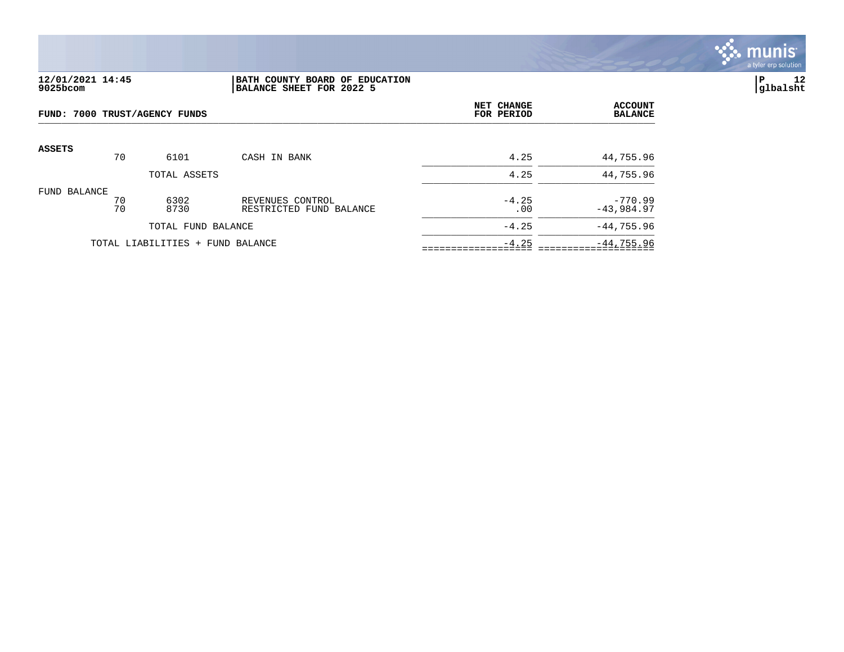

# **12/01/2021 14:45 |BATH COUNTY BOARD OF EDUCATION |P 12 9025bcom |BALANCE SHEET FOR 2022 5 |glbalsht**

| FUND: 7000 TRUST/AGENCY FUNDS |          |                                  |                                             | NET CHANGE<br>FOR PERIOD | <b>ACCOUNT</b><br><b>BALANCE</b> |
|-------------------------------|----------|----------------------------------|---------------------------------------------|--------------------------|----------------------------------|
| <b>ASSETS</b>                 | 70       | 6101                             | CASH IN BANK                                | 4.25                     | 44,755.96                        |
|                               |          | TOTAL ASSETS                     |                                             | 4.25                     | 44,755.96                        |
| FUND BALANCE                  | 70<br>70 | 6302<br>8730                     | REVENUES CONTROL<br>RESTRICTED FUND BALANCE | $-4.25$<br>.00           | $-770.99$<br>$-43,984.97$        |
|                               |          | TOTAL FUND BALANCE               |                                             | $-4.25$                  | $-44, 755.96$                    |
|                               |          | TOTAL LIABILITIES + FUND BALANCE |                                             | $-4.25$                  | $-44,755.96$                     |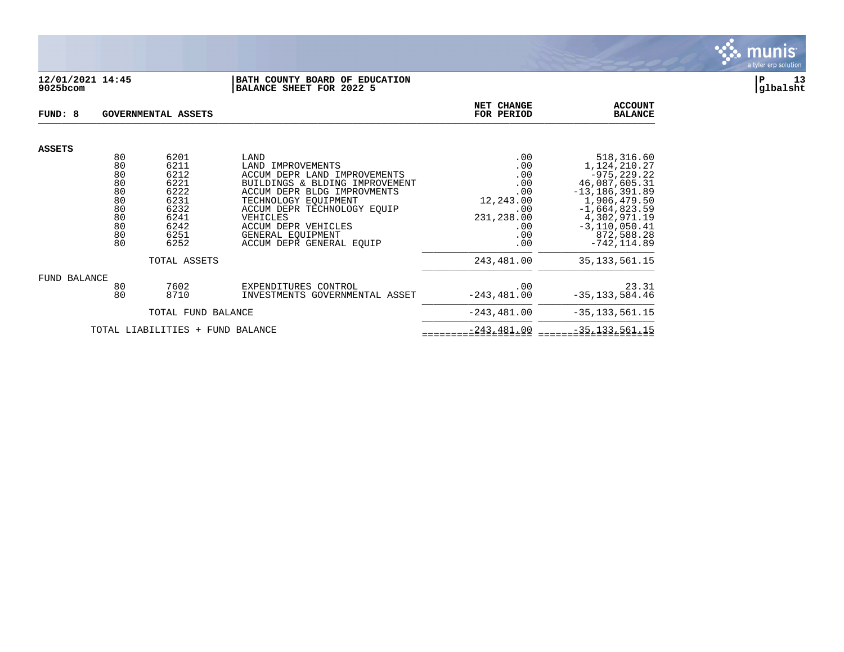

## **12/01/2021 14:45 |BATH COUNTY BOARD OF EDUCATION |P 13 9025bcom |BALANCE SHEET FOR 2022 5 |glbalsht**

| FUND: 8                                  |                                                                | GOVERNMENTAL ASSETS                                                                  | NET CHANGE<br>FOR PERIOD                                                                                                                                                                                                                                              | <b>ACCOUNT</b><br><b>BALANCE</b>                                                       |                                                                                                                                                                                             |
|------------------------------------------|----------------------------------------------------------------|--------------------------------------------------------------------------------------|-----------------------------------------------------------------------------------------------------------------------------------------------------------------------------------------------------------------------------------------------------------------------|----------------------------------------------------------------------------------------|---------------------------------------------------------------------------------------------------------------------------------------------------------------------------------------------|
| <b>ASSETS</b>                            |                                                                |                                                                                      |                                                                                                                                                                                                                                                                       |                                                                                        |                                                                                                                                                                                             |
|                                          | 80<br>80<br>80<br>80<br>80<br>80<br>80<br>80<br>80<br>80<br>80 | 6201<br>6211<br>6212<br>6221<br>6222<br>6231<br>6232<br>6241<br>6242<br>6251<br>6252 | LAND<br>LAND IMPROVEMENTS<br>ACCUM DEPR LAND IMPROVEMENTS<br>BUILDINGS & BLDING IMPROVEMENT<br>ACCUM DEPR BLDG IMPROVMENTS<br>TECHNOLOGY EQUIPMENT<br>ACCUM DEPR TECHNOLOGY EQUIP<br>VEHICLES<br>ACCUM DEPR VEHICLES<br>GENERAL EQUIPMENT<br>ACCUM DEPR GENERAL EQUIP | .00<br>.00<br>.00<br>.00<br>.00<br>12,243.00<br>.00<br>231,238.00<br>.00<br>.00<br>.00 | 518,316.60<br>1,124,210.27<br>$-975, 229.22$<br>46,087,605.31<br>$-13, 186, 391.89$<br>1,906,479.50<br>$-1,664,823.59$<br>4,302,971.19<br>$-3, 110, 050.41$<br>872,588.28<br>$-742, 114.89$ |
|                                          |                                                                | TOTAL ASSETS                                                                         |                                                                                                                                                                                                                                                                       | 243,481.00                                                                             | 35, 133, 561. 15                                                                                                                                                                            |
| FUND BALANCE                             | 80<br>80                                                       | 7602<br>8710                                                                         | EXPENDITURES CONTROL<br>INVESTMENTS GOVERNMENTAL ASSET                                                                                                                                                                                                                | .00<br>$-243, 481.00$                                                                  | 23.31<br>$-35, 133, 584.46$                                                                                                                                                                 |
| TOTAL FUND BALANCE                       |                                                                |                                                                                      |                                                                                                                                                                                                                                                                       | $-243, 481.00$                                                                         | $-35, 133, 561.15$                                                                                                                                                                          |
| TOTAL LIABILITIES<br>FUND BALANCE<br>$+$ |                                                                |                                                                                      |                                                                                                                                                                                                                                                                       | $-243, 481.00$                                                                         | $-35, 133, 561.15$                                                                                                                                                                          |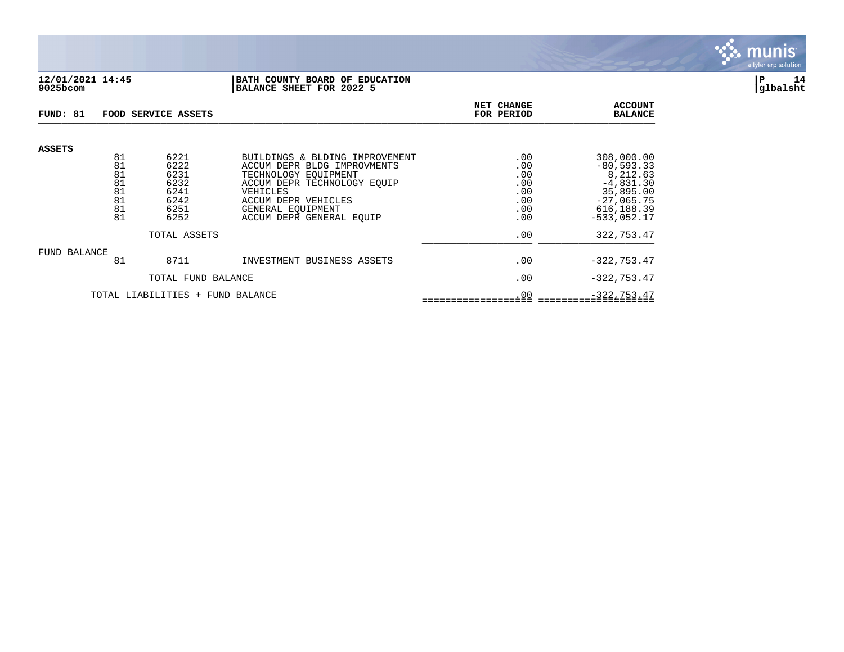

## **12/01/2021 14:45 |BATH COUNTY BOARD OF EDUCATION |P 14 9025bcom |BALANCE SHEET FOR 2022 5 |glbalsht**

| FUND: 81                         |                                        | FOOD SERVICE ASSETS                                  |                                                                                                                                                                        | NET CHANGE<br>FOR PERIOD                      | <b>ACCOUNT</b><br><b>BALANCE</b>                                                                     |
|----------------------------------|----------------------------------------|------------------------------------------------------|------------------------------------------------------------------------------------------------------------------------------------------------------------------------|-----------------------------------------------|------------------------------------------------------------------------------------------------------|
| <b>ASSETS</b>                    | 81                                     | 6221                                                 | BUILDINGS & BLDING IMPROVEMENT                                                                                                                                         | .00                                           | 308,000.00                                                                                           |
|                                  | 81<br>81<br>81<br>81<br>81<br>81<br>81 | 6222<br>6231<br>6232<br>6241<br>6242<br>6251<br>6252 | ACCUM DEPR BLDG IMPROVMENTS<br>TECHNOLOGY EOUIPMENT<br>ACCUM DEPR TECHNOLOGY EOUIP<br>VEHICLES<br>ACCUM DEPR VEHICLES<br>GENERAL EOUIPMENT<br>ACCUM DEPR GENERAL EQUIP | .00<br>.00<br>.00<br>.00<br>.00<br>.00<br>.00 | $-80, 593.33$<br>8,212.63<br>$-4,831.30$<br>35,895.00<br>$-27,065.75$<br>616,188.39<br>$-533.052.17$ |
|                                  |                                        | TOTAL ASSETS                                         |                                                                                                                                                                        | .00                                           | 322,753.47                                                                                           |
| FUND BALANCE                     | 81                                     | 8711                                                 | INVESTMENT BUSINESS ASSETS                                                                                                                                             | .00                                           | $-322, 753.47$                                                                                       |
|                                  |                                        | TOTAL FUND BALANCE                                   |                                                                                                                                                                        | .00                                           | $-322, 753.47$                                                                                       |
| TOTAL LIABILITIES + FUND BALANCE |                                        |                                                      |                                                                                                                                                                        | .00                                           | $-322, 753.47$                                                                                       |